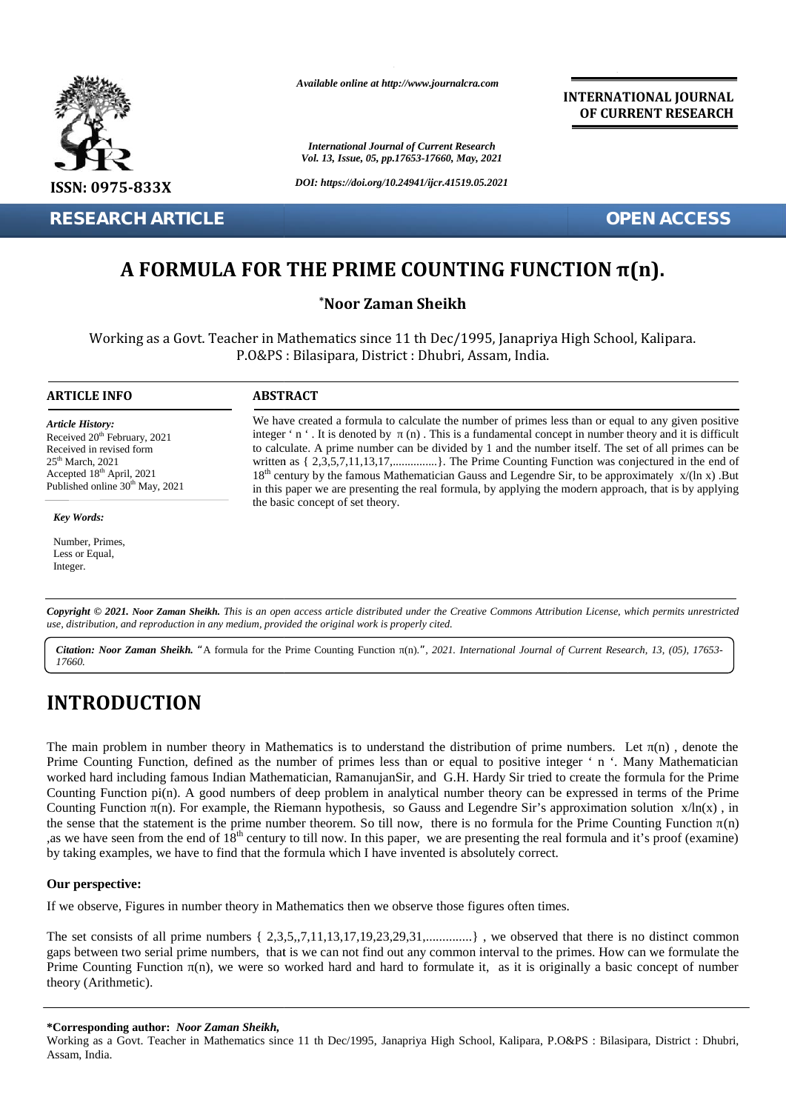

**RESEARCH ARTICLE OPEN ACCESS**

*Available online at http://www.journalcra.com*

*International Journal of Current Research Vol. 13, Issue, 05, pp.17653-17660, May, 2021*

*DOI: https://doi.org/10.24941/ijcr.41519.05.2021*

**INTERNATIONAL JOURNAL OF CURRENT RESEARCH**

## **A FORMULA FOR THE PRIME COUNTING FUNCTION π(n). π(n).**

### **\*Noor Zaman Sheikh \*Noor**

Working as a Govt. Teacher in Mathematics since 11 th Dec/1995, Janapriya High School, Kalipara.<br>P.O&PS : Bilasipara, District : Dhubri, Assam, India. P.O&PS : Bilasipara, District : Dhubri, Assam, India.

#### **ARTICLE INFO ABSTRACT ARTICLE ABSTRACT**

Received 20<sup>th</sup> February, 2021 Received 20 February, 2021<br>Received in revised form

*Article History:*

 $25<sup>th</sup>$  March, 2021 Accepted 18th April, 2021 Published online 30<sup>th</sup> May, 2021

*Key Words:* Number, Primes, Less or Equal, Integer.

We have created a formula to calculate the number of primes less than or equal to any given positive integer ' n '. It is denoted by  $(n)$ . This is a fundamental concept in number theory and it is difficult to calculate. A prime number can be divided by 1 and the number itself. The set of all primes can be written as  $\{2,3,5,7,11,13,17,\ldots\}$ . The Prime Counting Function was conjectured in the end of  $18<sup>th</sup>$  century by the famous Mathematician Gauss and Legendre Sir, to be approximately  $x/(ln x)$ . But in this paper we are presenting the real formula, by applying the modern approach, that is by applying the basic concept of set theory. to calculate. A prime number can be divided by 1 and the number itself. The set of all primes can be written as  $\{2,3,5,7,11,13,17, \ldots, \ldots\}$ . The Prime Counting Function was conjectured in the end of  $18<sup>th</sup>$  century **EXERCH ARTICLE**<br> **A FORMULA FOR THE PRIME COUNTING FUNCTION**  $\pi(n)$ **.**<br>
"Noor Zaman Sheikh<br>
Working as a Govt. Teacher in Mathematics since 11 th Dec/1995, Janapriya High School, Kalipara.<br>
P.O&PS : Bilasipara, District : *Citation: Noor Zaman Sheikh. This is an open access article distributed under the Creative Commons Attribution <i>International*<br> *Citation: Primes,*<br> *Currential,*<br> *Citation: Primes,*<br> *Currential,*<br> *Currential, Augusta* 

Copyright © 2021. Noor Zaman Sheikh. This is an open access article distributed under the Creative Commons Attribution License, which permits unrestricted use, distribution, and reproduction in any medium, provided the original work is properly cited.

Citation: Noor Zaman Sheikh. "A formula for the Prime Counting Function (n).", 2021. International Journal of Current Research, 13, (05), 17653-*17660.*

# **INTRODUCTION INTRODUCTION**

The main problem in number theory in Mathematics is to understand the distribution of prime numbers. Let (n), denote the The main problem in number theory in Mathematics is to understand the distribution of prime numbers. Let (n), denote the<br>Prime Counting Function, defined as the number of primes less than or equal to positive integer ' n ' worked hard including famous Indian Mathematician, RamanujanSir, and G.H. Hardy Sir tried to create the formula for the Prime Counting Function pi(n). A good numbers of deep problem in analytical number theory can be expressed in terms of the Prime Counting Function (n). For example, the Riemann hypothesis, so Gauss and Legendre Sir's approximation solution x/ln(x), in the sense that the statement is the prime number theorem. So till now, there is no formula for the Prime Counting Function (n) , as we have seen from the end of  $18<sup>th</sup>$  century to till now. In this paper, we are presenting the real formula and it's proof (examine) by taking examples, we have to find that the formula which I have invented is absolutely correct. worked hard including famous Indian Mathematician, RamanujanSir, and G.H. Hardy Sir tried to create the formula<br>Counting Function pi(n). A good numbers of deep problem in analytical number theory can be expressed in terms<br> **EXAMPLE AND CONSULTER CONTRACT CONTRACT CONTRACT CONTRACT CONTRACT CONTRACT CONTRACT CONTRACT CONTRACT CONTRACT CONTRACT CONTRACT CONTRACT CONTRACT CONTRACT CONTRACT CONTRACT CONTRACT CONTRACT CONTRACT CONTRACT CONTRACT** create the f<br>expressed in<br>roximation<br>e Prime Coo<br>formula and<br>at there is **COUNTING FUNCTION**  $\pi(n)$ .<br> **ACCESS**<br> **ACCESS**<br> **ACCESS**<br> **ACCESS**<br> **ACCESS**<br> **ACCES**<br> **ACCES**<br> **ACCES**<br> **ACCES**<br> **ACCES**<br> **ACCES**<br> **ACCES**<br> **ACCES**<br> **ACCES**<br> **ACCES**<br> **ACCES**<br> **ACCES**<br> **ACCES**<br> **ACCES**<br> **ACCES**<br> **ACCES** 

#### **Our perspective: Our**

If we observe, Figures in number theory in Mathematics then we observe those figures often times.

The set consists of all prime numbers  $\{2,3,5,7,11,13,17,19,23,29,31, \ldots, \ldots\}$ , we observed that there is no distinct common gaps between two serial prime numbers, that is we can not find out any common interval to the primes. How can we formulate the Prime Counting Function (n), we were so worked hard and hard to formulate it, as it is originally a basic concept of number theory (Arithmetic). If we observe, Figures in number theory in Mathematics then we observe those figures often times.<br>The set consists of all prime numbers { 2,3,5,,7,11,13,17,19,23,29,31,..............} , we observed that there is no<br>gaps be

#### **\*Corresponding author:** *Noor Zaman Sheikh,* **\*Corresponding**

Working as a Govt. Teacher in Mathematics since 11 th Dec/1995, Janapriya High School, Kalipara, P.O&PS : Bilasipara, District : Dhubri, Assam, India.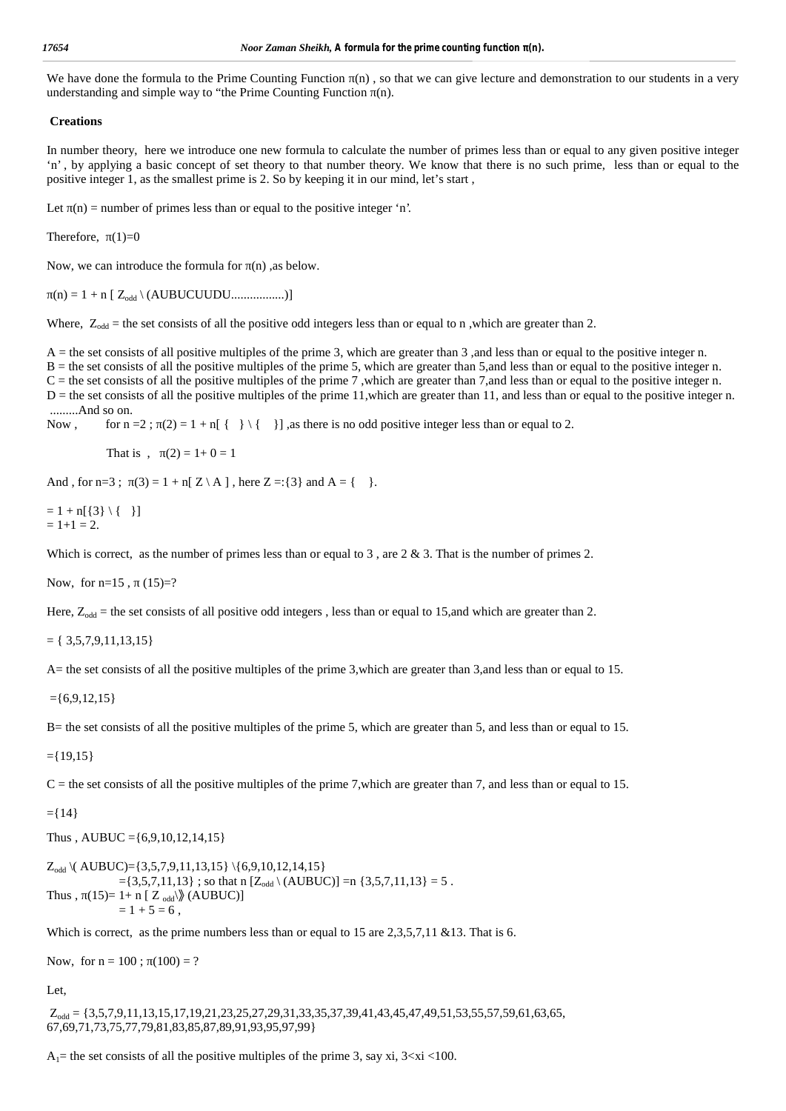We have done the formula to the Prime Counting Function (n), so that we can give lecture and demonstration to our students in a very understanding and simple way to "the Prime Counting Function (n).

#### **Creations**

In number theory, here we introduce one new formula to calculate the number of primes less than or equal to any given positive integer 'n' , by applying a basic concept of set theory to that number theory. We know that there is no such prime, less than or equal to the positive integer 1, as the smallest prime is 2. So by keeping it in our mind, let's start ,

Let  $(n)$  = number of primes less than or equal to the positive integer 'n'.

Therefore,  $(1)=0$ 

Now, we can introduce the formula for (n), as below.

 $(n) = 1 + n [ Z_{odd} \setminus (AUBUCUUDU.............. )]$ 

Where,  $Z_{odd}$  = the set consists of all the positive odd integers less than or equal to n, which are greater than 2.

 $A =$  the set consists of all positive multiples of the prime 3, which are greater than 3, and less than or equal to the positive integer n.

B = the set consists of all the positive multiples of the prime 5, which are greater than 5,and less than or equal to the positive integer n.

 $C$  = the set consists of all the positive multiples of the prime 7, which are greater than 7, and less than or equal to the positive integer n.  $D =$  the set consists of all the positive multiples of the prime 11, which are greater than 11, and less than or equal to the positive integer n. .........And so on.

Now, for  $n = 2$ ;  $(2) = 1 + n$ [ $\{ \} \setminus \{ \}$ ], as there is no odd positive integer less than or equal to 2.

That is ,  $(2) = 1 + 0 = 1$ 

And , for  $n=3$ ;  $(3) = 1 + n[Z \setminus A]$ , here  $Z = \{3\}$  and  $A = \{\}$ .

$$
= 1 + n[\{3\} \setminus \{-\}
$$
  
= 1+1 = 2.

Which is correct, as the number of primes less than or equal to 3, are  $2 \& 3$ . That is the number of primes 2.

Now, for  $n=15$ ,  $(15)=?$ 

Here,  $Z_{odd}$  = the set consists of all positive odd integers, less than or equal to 15, and which are greater than 2.

 $= \{ 3, 5, 7, 9, 11, 13, 15 \}$ 

A= the set consists of all the positive multiples of the prime 3,which are greater than 3,and less than or equal to 15.

 $=\{6,9,12,15\}$ 

B= the set consists of all the positive multiples of the prime 5, which are greater than 5, and less than or equal to 15.

 $=$ {19,15}

 $C =$  the set consists of all the positive multiples of the prime 7, which are greater than 7, and less than or equal to 15.

 $=$ {14}

Thus , AUBUC =  $\{6,9,10,12,14,15\}$ 

$$
Z_{\text{odd}} \setminus (\text{AUBUC}) = \{3,5,7,9,11,13,15\} \setminus \{6,9,10,12,14,15\} \\
 = \{3,5,7,11,13\} \; ; \; \text{so that } n \; [Z_{\text{odd}} \setminus (\text{AUBUC})] = n \; \{3,5,7,11,13\} = 5 \; . \\
 \text{Thus,} \quad (15) = 1 + n \; [Z_{\text{odd}}] \setminus (\text{AUBUC}) \\
 = 1 + 5 = 6 \; ,
$$

Which is correct, as the prime numbers less than or equal to 15 are  $2,3,5,7,11 \& 13$ . That is 6.

Now, for  $n = 100$ ;  $(100) = ?$ 

Let,

 $Z_{odd} = \{3,5,7,9,11,13,15,17,19,21,23,25,27,29,31,33,35,37,39,41,43,45,47,49,51,53,55,57,59,61,63,65,$ 67,69,71,73,75,77,79,81,83,85,87,89,91,93,95,97,99}

 $A_1$ = the set consists of all the positive multiples of the prime 3, say xi,  $3 \lt x$ i  $\lt 100$ .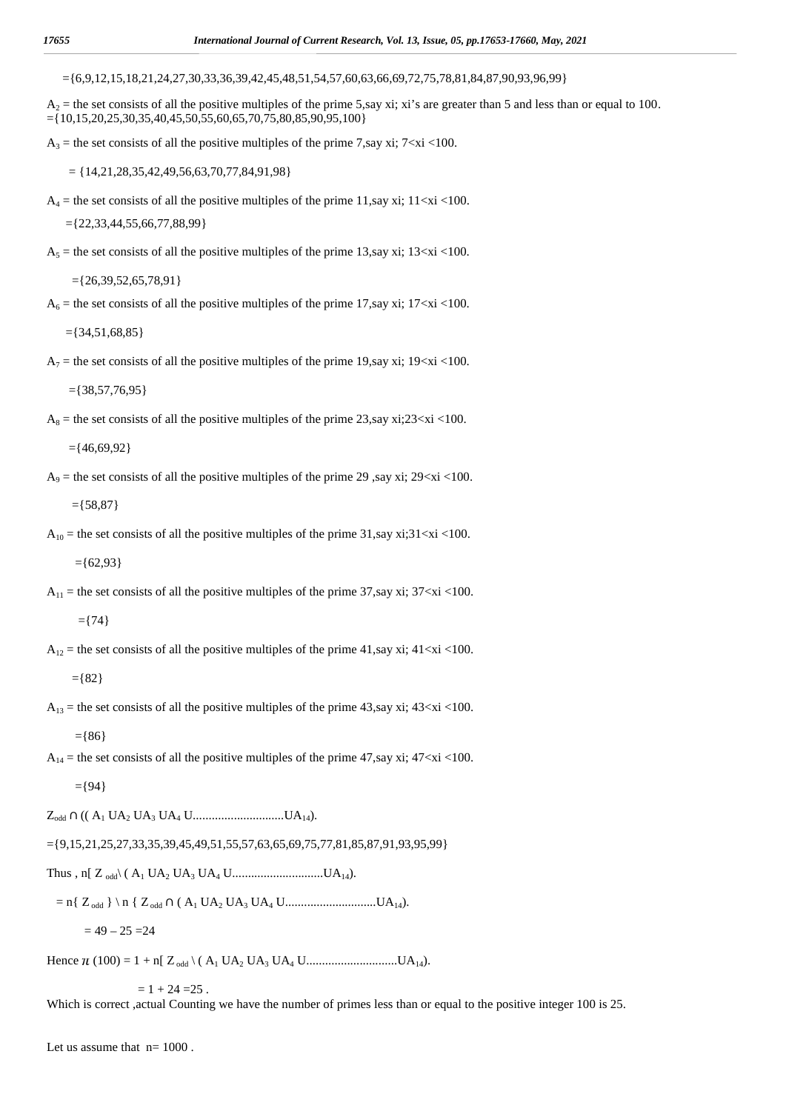$=$ {6,9,12,15,18,21,24,27,30,33,36,39,42,45,48,51,54,57,60,63,66,69,72,75,78,81,84,87,90,93,96,99}

 $A_2$  = the set consists of all the positive multiples of the prime 5,say xi; xi's are greater than 5 and less than or equal to 100.  $=\{10,15,20,25,30,35,40,45,50,55,60,65,70,75,80,85,90,95,100\}$ 

 $A_3$  = the set consists of all the positive multiples of the prime 7, say xi; 7<xi <100.

 $=$  {14,21,28,35,42,49,56,63,70,77,84,91,98}

 $A_4$  = the set consists of all the positive multiples of the prime 11,say xi; 11<xi <100.

 $=\{22,33,44,55,66,77,88,99\}$ 

 $A_5$  = the set consists of all the positive multiples of the prime 13,say xi; 13<xi <100.

 $=\{26,39,52,65,78,91\}$ 

 $A_6$  = the set consists of all the positive multiples of the prime 17, say xi; 17<xi <100.

 $=\{34,51,68,85\}$ 

 $A_7$  = the set consists of all the positive multiples of the prime 19, say xi; 19 $\lt$ xi $\lt$ 100.

 $=\{38,57,76,95\}$ 

 $A_8$  = the set consists of all the positive multiples of the prime 23,say xi;23<xi <100.

 $=\{46,69,92\}$ 

 $A_9$  = the set consists of all the positive multiples of the prime 29, say xi; 29<xi <100.

 $=$ {58,87}

 $A_{10}$  = the set consists of all the positive multiples of the prime 31,say xi;31<xi <100.

 $=$ {62,93}

 $A_{11}$  = the set consists of all the positive multiples of the prime 37, say xi; 37 $\langle x \rangle$  <100.

 $=$  {74}

 $A_{12}$  = the set consists of all the positive multiples of the prime 41,say xi; 41 $\langle xi \rangle$  <100.

$$
= \{82\}
$$

 $A_{13}$  = the set consists of all the positive multiples of the prime 43,say xi; 43<xi <100.

 $=$ {86}

 $A_{14}$  = the set consists of all the positive multiples of the prime 47, say xi; 47<xi <100.

 $=$ {94}

Zodd ∩ (( A<sup>1</sup> UA<sup>2</sup> UA<sup>3</sup> UA<sup>4</sup> U.............................UA14).

 $=\{9,15,21,25,27,33,35,39,45,49,51,55,57,63,65,69,75,77,81,85,87,91,93,95,99\}$ 

Thus , n[ Z odd\ ( A<sup>1</sup> UA<sup>2</sup> UA<sup>3</sup> UA<sup>4</sup> U.............................UA14).

= n{ Zodd } \ n { Zodd ∩ ( A<sup>1</sup> UA<sup>2</sup> UA<sup>3</sup> UA<sup>4</sup> U.............................UA14).

 $= 49 - 25 = 24$ 

Hence (100) = 1 + n[ Zodd \ ( A<sup>1</sup> UA<sup>2</sup> UA<sup>3</sup> UA<sup>4</sup> U.............................UA14).

 $= 1 + 24 = 25$ .

Which is correct , actual Counting we have the number of primes less than or equal to the positive integer 100 is 25.

Let us assume that  $n=1000$ .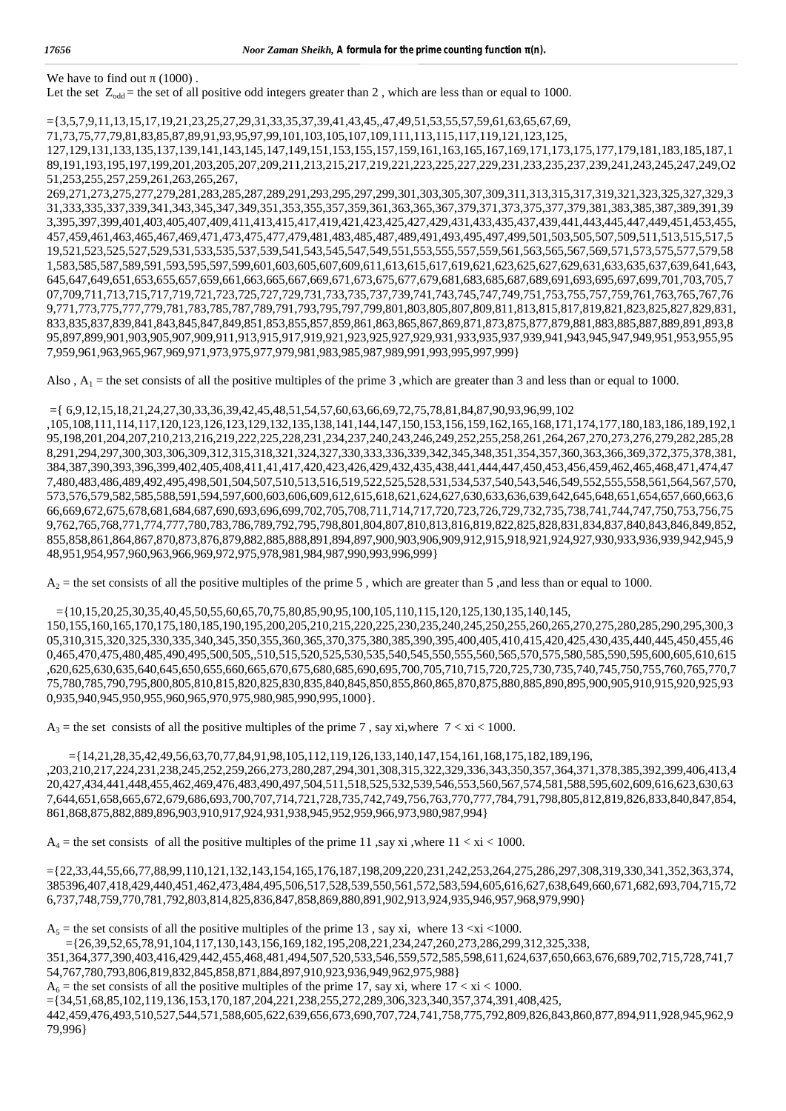We have to find out  $(1000)$ .

Let the set  $Z_{odd}$  = the set of all positive odd integers greater than 2, which are less than or equal to 1000.

={3,5,7,9,11,13,15,17,19,21,23,25,27,29,31,33,35,37,39,41,43,45,,47,49,51,53,55,57,59,61,63,65,67,69,

71,73,75,77,79,81,83,85,87,89,91,93,95,97,99,101,103,105,107,109,111,113,115,117,119,121,123,125,

127,129,131,133,135,137,139,141,143,145,147,149,151,153,155,157,159,161,163,165,167,169,171,173,175,177,179,181,183,185,187,1 89,191,193,195,197,199,201,203,205,207,209,211,213,215,217,219,221,223,225,227,229,231,233,235,237,239,241,243,245,247,249,O2 51,253,255,257,259,261,263,265,267,

269,271,273,275,277,279,281,283,285,287,289,291,293,295,297,299,301,303,305,307,309,311,313,315,317,319,321,323,325,327,329,3 31,333,335,337,339,341,343,345,347,349,351,353,355,357,359,361,363,365,367,379,371,373,375,377,379,381,383,385,387,389,391,39 3,395,397,399,401,403,405,407,409,411,413,415,417,419,421,423,425,427,429,431,433,435,437,439,441,443,445,447,449,451,453,455, 457,459,461,463,465,467,469,471,473,475,477,479,481,483,485,487,489,491,493,495,497,499,501,503,505,507,509,511,513,515,517,5 19,521,523,525,527,529,531,533,535,537,539,541,543,545,547,549,551,553,555,557,559,561,563,565,567,569,571,573,575,577,579,58 1,583,585,587,589,591,593,595,597,599,601,603,605,607,609,611,613,615,617,619,621,623,625,627,629,631,633,635,637,639,641,643, 645,647,649,651,653,655,657,659,661,663,665,667,669,671,673,675,677,679,681,683,685,687,689,691,693,695,697,699,701,703,705,7 07,709,711,713,715,717,719,721,723,725,727,729,731,733,735,737,739,741,743,745,747,749,751,753,755,757,759,761,763,765,767,76 9,771,773,775,777,779,781,783,785,787,789,791,793,795,797,799,801,803,805,807,809,811,813,815,817,819,821,823,825,827,829,831, 833,835,837,839,841,843,845,847,849,851,853,855,857,859,861,863,865,867,869,871,873,875,877,879,881,883,885,887,889,891,893,8 95,897,899,901,903,905,907,909,911,913,915,917,919,921,923,925,927,929,931,933,935,937,939,941,943,945,947,949,951,953,955,95 7,959,961,963,965,967,969,971,973,975,977,979,981,983,985,987,989,991,993,995,997,999}

Also,  $A_1$  = the set consists of all the positive multiples of the prime 3, which are greater than 3 and less than or equal to 1000.

#### ={ 6,9,12,15,18,21,24,27,30,33,36,39,42,45,48,51,54,57,60,63,66,69,72,75,78,81,84,87,90,93,96,99,102

,105,108,111,114,117,120,123,126,123,129,132,135,138,141,144,147,150,153,156,159,162,165,168,171,174,177,180,183,186,189,192,1 95,198,201,204,207,210,213,216,219,222,225,228,231,234,237,240,243,246,249,252,255,258,261,264,267,270,273,276,279,282,285,28 8,291,294,297,300,303,306,309,312,315,318,321,324,327,330,333,336,339,342,345,348,351,354,357,360,363,366,369,372,375,378,381, 384,387,390,393,396,399,402,405,408,411,41,417,420,423,426,429,432,435,438,441,444,447,450,453,456,459,462,465,468,471,474,47 7,480,483,486,489,492,495,498,501,504,507,510,513,516,519,522,525,528,531,534,537,540,543,546,549,552,555,558,561,564,567,570, 573,576,579,582,585,588,591,594,597,600,603,606,609,612,615,618,621,624,627,630,633,636,639,642,645,648,651,654,657,660,663,6 66,669,672,675,678,681,684,687,690,693,696,699,702,705,708,711,714,717,720,723,726,729,732,735,738,741,744,747,750,753,756,75 9,762,765,768,771,774,777,780,783,786,789,792,795,798,801,804,807,810,813,816,819,822,825,828,831,834,837,840,843,846,849,852, 855,858,861,864,867,870,873,876,879,882,885,888,891,894,897,900,903,906,909,912,915,918,921,924,927,930,933,936,939,942,945,9 48,951,954,957,960,963,966,969,972,975,978,981,984,987,990,993,996,999}

 $A_2$  = the set consists of all the positive multiples of the prime 5, which are greater than 5, and less than or equal to 1000.

#### $=$ {10,15,20,25,30,35,40,45,50,55,60,65,70,75,80,85,90,95,100,105,110,115,120,125,130,135,140,145,

150,155,160,165,170,175,180,185,190,195,200,205,210,215,220,225,230,235,240,245,250,255,260,265,270,275,280,285,290,295,300,3 05,310,315,320,325,330,335,340,345,350,355,360,365,370,375,380,385,390,395,400,405,410,415,420,425,430,435,440,445,450,455,46 0,465,470,475,480,485,490,495,500,505,,510,515,520,525,530,535,540,545,550,555,560,565,570,575,580,585,590,595,600,605,610,615 ,620,625,630,635,640,645,650,655,660,665,670,675,680,685,690,695,700,705,710,715,720,725,730,735,740,745,750,755,760,765,770,7 75,780,785,790,795,800,805,810,815,820,825,830,835,840,845,850,855,860,865,870,875,880,885,890,895,900,905,910,915,920,925,93 0,935,940,945,950,955,960,965,970,975,980,985,990,995,1000}.

 $A_3$  = the set consists of all the positive multiples of the prime 7, say xi, where  $7 < x$ i < 1000.

```
={14,21,28,35,42,49,56,63,70,77,84,91,98,105,112,119,126,133,140,147,154,161,168,175,182,189,196,
,203,210,217,224,231,238,245,252,259,266,273,280,287,294,301,308,315,322,329,336,343,350,357,364,371,378,385,392,399,406,413,4
20,427,434,441,448,455,462,469,476,483,490,497,504,511,518,525,532,539,546,553,560,567,574,581,588,595,602,609,616,623,630,63
7,644,651,658,665,672,679,686,693,700,707,714,721,728,735,742,749,756,763,770,777,784,791,798,805,812,819,826,833,840,847,854,
861,868,875,882,889,896,903,910,917,924,931,938,945,952,959,966,973,980,987,994}
```
 $A_4$  = the set consists of all the positive multiples of the prime 11, say xi, where 11 < xi < 1000.

={22,33,44,55,66,77,88,99,110,121,132,143,154,165,176,187,198,209,220,231,242,253,264,275,286,297,308,319,330,341,352,363,374, 385396,407,418,429,440,451,462,473,484,495,506,517,528,539,550,561,572,583,594,605,616,627,638,649,660,671,682,693,704,715,72 6,737,748,759,770,781,792,803,814,825,836,847,858,869,880,891,902,913,924,935,946,957,968,979,990}

 $A_5$  = the set consists of all the positive multiples of the prime 13, say xi, where 13 <xi <1000.

={26,39,52,65,78,91,104,117,130,143,156,169,182,195,208,221,234,247,260,273,286,299,312,325,338,

351,364,377,390,403,416,429,442,455,468,481,494,507,520,533,546,559,572,585,598,611,624,637,650,663,676,689,702,715,728,741,7 54,767,780,793,806,819,832,845,858,871,884,897,910,923,936,949,962,975,988}

 $A_6$  = the set consists of all the positive multiples of the prime 17, say xi, where  $17 < x$ i < 1000.

={34,51,68,85,102,119,136,153,170,187,204,221,238,255,272,289,306,323,340,357,374,391,408,425,

442,459,476,493,510,527,544,571,588,605,622,639,656,673,690,707,724,741,758,775,792,809,826,843,860,877,894,911,928,945,962,9 79,996}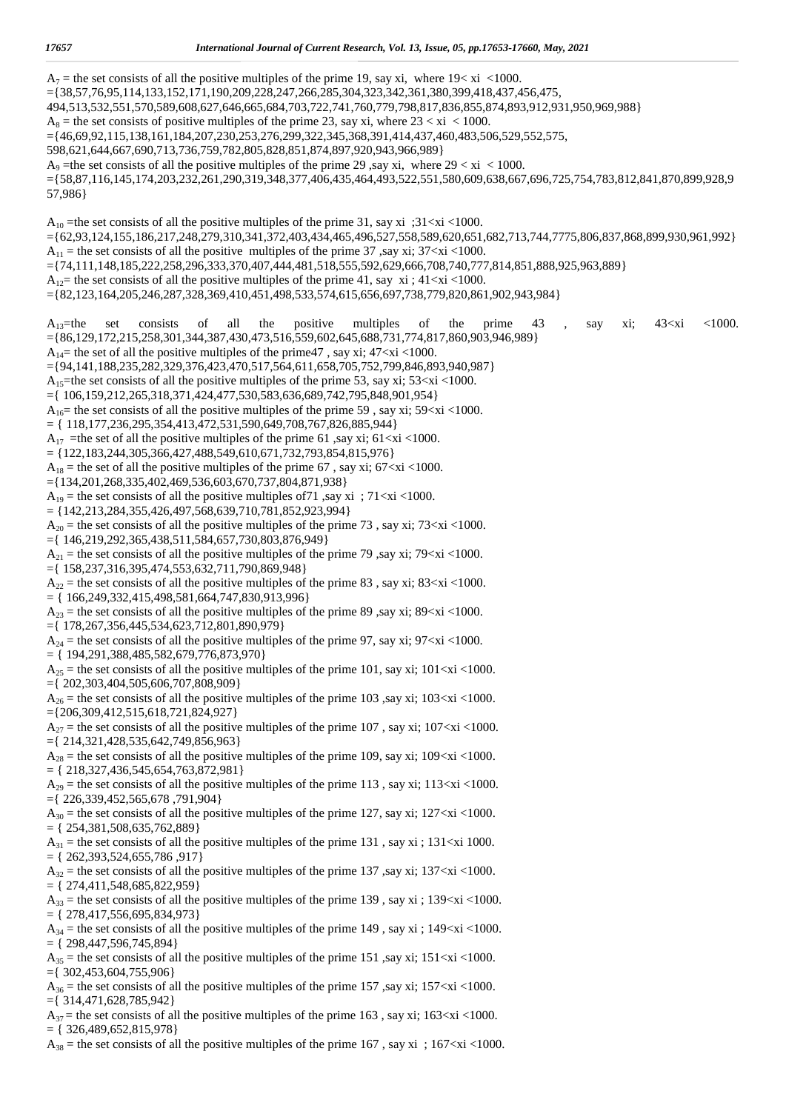$A_7$  = the set consists of all the positive multiples of the prime 19, say xi, where 19 $\lt$  xi  $\lt$ 1000. ={38,57,76,95,114,133,152,171,190,209,228,247,266,285,304,323,342,361,380,399,418,437,456,475, 494,513,532,551,570,589,608,627,646,665,684,703,722,741,760,779,798,817,836,855,874,893,912,931,950,969,988}  $A_8$  = the set consists of positive multiples of the prime 23, say xi, where  $23 < x$  i < 1000. ={46,69,92,115,138,161,184,207,230,253,276,299,322,345,368,391,414,437,460,483,506,529,552,575, 598,621,644,667,690,713,736,759,782,805,828,851,874,897,920,943,966,989}  $A_9$  =the set consists of all the positive multiples of the prime 29 , say xi, where  $29 < x$ i < 1000. ={58,87,116,145,174,203,232,261,290,319,348,377,406,435,464,493,522,551,580,609,638,667,696,725,754,783,812,841,870,899,928,9 57,986} A<sub>10</sub> = the set consists of all the positive multiples of the prime 31, say xi ;  $31 \le x \le 1000$ . ={62,93,124,155,186,217,248,279,310,341,372,403,434,465,496,527,558,589,620,651,682,713,744,7775,806,837,868,899,930,961,992}  $A_{11}$  = the set consists of all the positive multiples of the prime 37, say xi; 37<xi <1000. ={74,111,148,185,222,258,296,333,370,407,444,481,518,555,592,629,666,708,740,777,814,851,888,925,963,889}  $A_{12}$  the set consists of all the positive multiples of the prime 41, say xi; 41<xi <1000. ={82,123,164,205,246,287,328,369,410,451,498,533,574,615,656,697,738,779,820,861,902,943,984}  $A_{13}$ =the set consists of all the positive multiples of the prime 43 , say xi; 43<xi <1000. ={86,129,172,215,258,301,344,387,430,473,516,559,602,645,688,731,774,817,860,903,946,989}  $A_{14}$ = the set of all the positive multiples of the prime47, say xi; 47<xi <1000. ={94,141,188,235,282,329,376,423,470,517,564,611,658,705,752,799,846,893,940,987} A<sub>15</sub>=the set consists of all the positive multiples of the prime 53, say xi; 53 $\lt x$ i  $\lt$ 1000. ={ 106,159,212,265,318,371,424,477,530,583,636,689,742,795,848,901,954}  $A_{16}$ = the set consists of all the positive multiples of the prime 59, say xi; 59<xi <1000.  $=$  {  $118,177,236,295,354,413,472,531,590,649,708,767,826,885,944$  }  $A_{17}$  =the set of all the positive multiples of the prime 61, say xi; 61<xi <1000.  $=$  {122,183,244,305,366,427,488,549,610,671,732,793,854,815,976}  $A_{18}$  = the set of all the positive multiples of the prime 67, say xi; 67<xi <1000. ={134,201,268,335,402,469,536,603,670,737,804,871,938}  $A_{19}$  = the set consists of all the positive multiples of 71, say xi ; 71 < xi < 1000.  $=$  {142,213,284,355,426,497,568,639,710,781,852,923,994}  $A_{20}$  = the set consists of all the positive multiples of the prime 73, say xi; 73<xi <1000. ={ 146,219,292,365,438,511,584,657,730,803,876,949}  $A_{21}$  = the set consists of all the positive multiples of the prime 79, say xi; 79<xi <1000. ={ 158,237,316,395,474,553,632,711,790,869,948}  $A_{22}$  = the set consists of all the positive multiples of the prime 83, say xi; 83<xi <1000. = { 166,249,332,415,498,581,664,747,830,913,996}  $A_{23}$  = the set consists of all the positive multiples of the prime 89, say xi; 89<xi <1000. ={ 178,267,356,445,534,623,712,801,890,979}  $A_{24}$  = the set consists of all the positive multiples of the prime 97, say xi; 97<xi <1000.  $=$  { 194,291,388,485,582,679,776,873,970}  $A_{25}$  = the set consists of all the positive multiples of the prime 101, say xi; 101<xi <1000. ={ 202,303,404,505,606,707,808,909}  $A_{26}$  = the set consists of all the positive multiples of the prime 103, say xi; 103 < xi < 1000. ={206,309,412,515,618,721,824,927}  $A_{27}$  = the set consists of all the positive multiples of the prime 107, say xi; 107<xi <1000. ={ 214,321,428,535,642,749,856,963}  $A_{28}$  = the set consists of all the positive multiples of the prime 109, say xi; 109<xi <1000.  $=$  { 218,327,436,545,654,763,872,981}  $A_{29}$  = the set consists of all the positive multiples of the prime 113, say xi; 113<xi <1000. ={ 226,339,452,565,678 ,791,904}  $A_{30}$  = the set consists of all the positive multiples of the prime 127, say xi; 127<xi <1000.  $=$  { 254,381,508,635,762,889}  $A_{31}$  = the set consists of all the positive multiples of the prime 131, say xi; 131<xi 1000.  $=$  { 262,393,524,655,786,917}  $A_{32}$  = the set consists of all the positive multiples of the prime 137, say xi; 137<xi <1000.  $=$  { 274,411,548,685,822,959}  $A_{33}$  = the set consists of all the positive multiples of the prime 139, say xi; 139<xi <1000.  $=$  { 278,417,556,695,834,973}  $A_{34}$  = the set consists of all the positive multiples of the prime 149, say xi; 149<xi <1000.  $=$  { 298,447,596,745,894}  $A_{35}$  = the set consists of all the positive multiples of the prime 151, say xi; 151<xi <1000. ={ 302,453,604,755,906}  $A_{36}$  = the set consists of all the positive multiples of the prime 157, say xi; 157<xi <1000. ={ 314,471,628,785,942}  $A_{37}$  = the set consists of all the positive multiples of the prime 163, say xi; 163<xi <1000.  $=$  { 326,489,652,815,978}

 $A_{38}$  = the set consists of all the positive multiples of the prime 167, say xi; 167<xi <1000.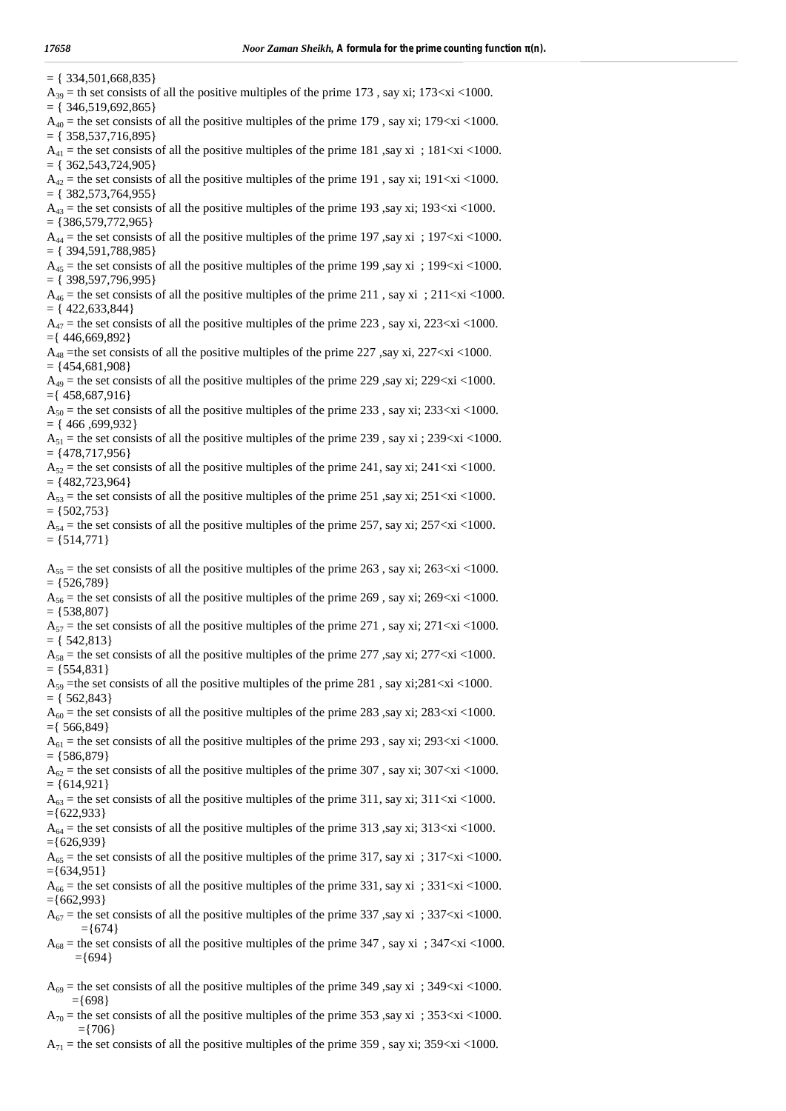| $= \{ 334, 501, 668, 835 \}$<br>$A_{39}$ = th set consists of all the positive multiples of the prime 173, say xi; 173 <xi 1000.<br="" <=""><math>= \{ 346, 519, 692, 865 \}</math></xi> |
|------------------------------------------------------------------------------------------------------------------------------------------------------------------------------------------|
| $A_{40}$ = the set consists of all the positive multiples of the prime 179, say xi; 179 <xi 1000.<br="" <=""><math>= \{ 358, 537, 716, 895 \}</math></xi>                                |
| $A_{41}$ = the set consists of all the positive multiples of the prime 181, say xi; 181 <xi 1000.<br="" <=""><math>= \{ 362, 543, 724, 905 \}</math></xi>                                |
| $A_{42}$ = the set consists of all the positive multiples of the prime 191, say xi; 191 <xi 1000.<="" <="" td=""></xi>                                                                   |
| $= \{ 382, 573, 764, 955 \}$<br>$A_{43}$ = the set consists of all the positive multiples of the prime 193, say xi; 193 <xi 1000.<br="" <=""><math>= \{386,579,772,965\}</math></xi>     |
| $A_{44}$ = the set consists of all the positive multiples of the prime 197, say xi; 197 <xi 1000.<br="" <=""><math>= \{</math> 394,591,788,985 }</xi>                                    |
| $A_{45}$ = the set consists of all the positive multiples of the prime 199, say xi; 199 <xi 1000.<br="" <=""><math>=</math> {398,597,796,995}</xi>                                       |
| $A_{46}$ = the set consists of all the positive multiples of the prime 211, say xi; 211 <xi 1000.<="" <="" td=""></xi>                                                                   |
| $= \{ 422, 633, 844 \}$<br>$A_{47}$ = the set consists of all the positive multiples of the prime 223, say xi, 223 <xi <1000.<="" td=""></xi>                                            |
| $=\{446,669,892\}$<br>$A_{48}$ = the set consists of all the positive multiples of the prime 227, say xi, 227 <xi 1000.<="" <="" td=""></xi>                                             |
| $= \{454,681,908\}$<br>$A_{49}$ = the set consists of all the positive multiples of the prime 229, say xi; 229 <xi 1000.<="" <="" td=""></xi>                                            |
| $=\{458,687,916\}$<br>$A_{50}$ = the set consists of all the positive multiples of the prime 233, say xi; 233 <xi <1000.<="" td=""></xi>                                                 |
| $= \{ 466, 699, 932 \}$<br>$A_{51}$ = the set consists of all the positive multiples of the prime 239, say xi; 239 <xi 1000.<="" <="" td=""></xi>                                        |
| $= \{478, 717, 956\}$<br>$A_{52}$ = the set consists of all the positive multiples of the prime 241, say xi; 241 <xi 1000.<="" <="" td=""></xi>                                          |
| $= \{482, 723, 964\}$<br>$A_{53}$ = the set consists of all the positive multiples of the prime 251, say xi; 251 < xi < 1000.                                                            |
| $= \{502,753\}$<br>$A_{54}$ = the set consists of all the positive multiples of the prime 257, say xi; 257 <xi 1000.<br="" <=""><math>= \{514,771\}</math></xi>                          |
| $A_{55}$ = the set consists of all the positive multiples of the prime 263, say xi; 263 <xi 1000.<="" <="" td=""></xi>                                                                   |
| $= \{526,789\}$<br>$A_{56}$ = the set consists of all the positive multiples of the prime 269, say xi; 269 <xi 1000.<="" <="" td=""></xi>                                                |
| $= \{538,807\}$<br>$A_{57}$ = the set consists of all the positive multiples of the prime 271, say xi; 271 <xi 1000.<="" <="" td=""></xi>                                                |
| $= \{ 542,813 \}$<br>$A_{58}$ = the set consists of all the positive multiples of the prime 277, say xi; 277 <xi 1000.<="" <="" td=""></xi>                                              |
| $= \{554,831\}$<br>$A_{59}$ = the set consists of all the positive multiples of the prime 281, say xi; 281 < xi < 1000.                                                                  |
| $= \{ 562,843 \}$                                                                                                                                                                        |
| $A_{60}$ = the set consists of all the positive multiples of the prime 283, say xi; 283 <xi 1000.<br="" <=""><math>=\{566,849\}</math></xi>                                              |
| $A_{61}$ = the set consists of all the positive multiples of the prime 293, say xi; 293 <xi 1000.<br="" <=""><math>= \{586,879\}</math></xi>                                             |
| $A_{62}$ = the set consists of all the positive multiples of the prime 307, say xi; 307 <xi <1000.<br=""><math>= \{614, 921\}</math></xi>                                                |
| $A_{63}$ = the set consists of all the positive multiples of the prime 311, say xi; 311 <xi 1000.<br="" <=""><math>=\{622,933\}</math></xi>                                              |
| $A_{64}$ = the set consists of all the positive multiples of the prime 313, say xi; 313 <xi 1000.<br="" <=""><math>=\{626,939\}</math></xi>                                              |
| $A_{65}$ = the set consists of all the positive multiples of the prime 317, say xi ; 317 <xi 1000.<br="" <=""><math>=\{634,951\}</math></xi>                                             |
| $A_{66}$ = the set consists of all the positive multiples of the prime 331, say xi ; 331 <xi 1000.<br="" <=""><math>=\{662,993\}</math></xi>                                             |
| $A_{67}$ = the set consists of all the positive multiples of the prime 337, say xi ; 337 <xi 1000.<br="" <=""><math>=\{674\}</math></xi>                                                 |
| $A_{68}$ = the set consists of all the positive multiples of the prime 347, say xi; 347 <xi 1000.<br="" <=""><math>=\{694\}</math></xi>                                                  |
| $A_{69}$ = the set consists of all the positive multiples of the prime 349, say xi ; 349 <xi 1000.<br="" <=""><math>=\{698\}</math></xi>                                                 |

 $A_{70}$  = the set consists of all the positive multiples of the prime 353, say xi ; 353<xi <1000. ={706}

 $A_{71}$  = the set consists of all the positive multiples of the prime 359, say xi; 359<xi <1000.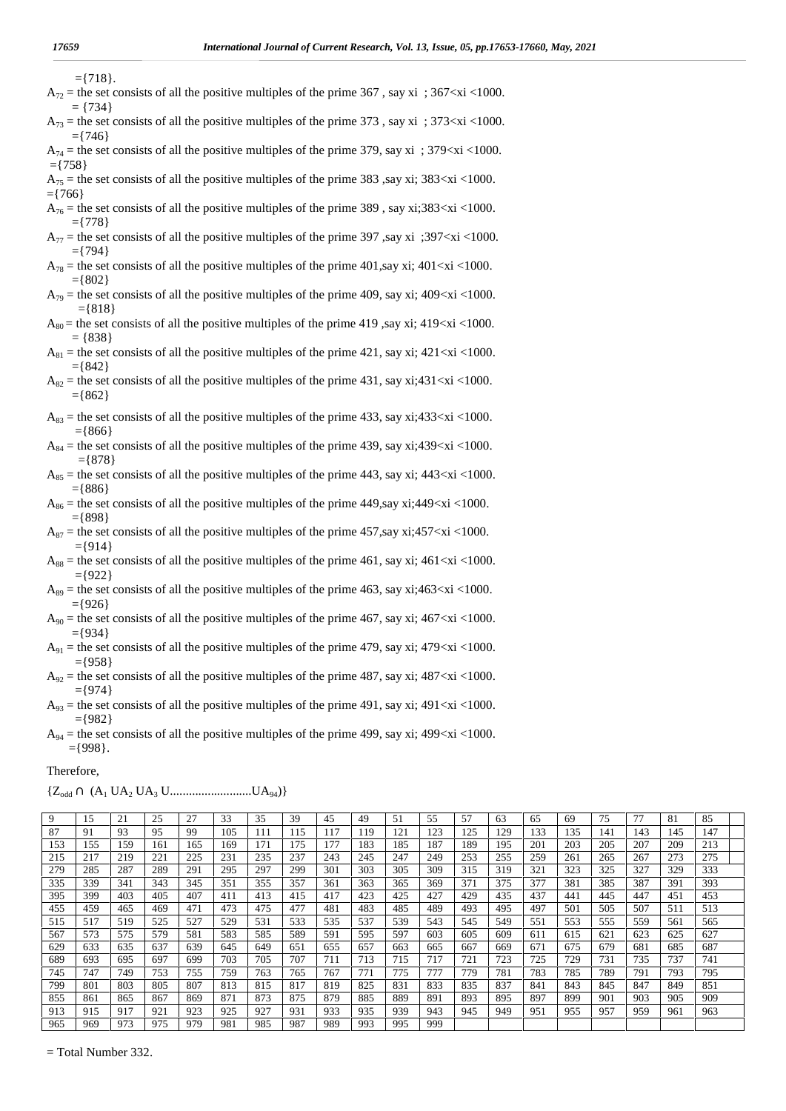- $=$ {718}.
- $A_{72}$  = the set consists of all the positive multiples of the prime 367, say xi; 367 < xi < 1000.  $=$  {734}
- $A_{73}$  = the set consists of all the positive multiples of the prime 373, say xi; 373<xi <1000.
- $=$ {746}  $A_{74}$  = the set consists of all the positive multiples of the prime 379, say xi ; 379 < xi < 1000.
- $=\{758\}$  $A_{75}$  = the set consists of all the positive multiples of the prime 383, say xi; 383<xi <1000.
- $=$ {766}  $A_{76}$  = the set consists of all the positive multiples of the prime 389, say xi;383<xi <1000.
- $=$  {778}  $A_{77}$  = the set consists of all the positive multiples of the prime 397, say xi ;397<xi <1000.  $=$ {794}
- $A_{78}$  = the set consists of all the positive multiples of the prime 401,say xi; 401<xi <1000.  $=$ {802}
- $A_{79}$  = the set consists of all the positive multiples of the prime 409, say xi; 409<xi <1000.  $=\{818\}$
- $A_{80}$  = the set consists of all the positive multiples of the prime 419, say xi; 419<xi <1000.  $=$  {838}
- $A_{81}$  = the set consists of all the positive multiples of the prime 421, say xi; 421<xi <1000.  $=$ {842}
- $A_{82}$  = the set consists of all the positive multiples of the prime 431, say xi;431<xi <1000.  $=$ {862}
- $A_{83}$  = the set consists of all the positive multiples of the prime 433, say xi;433 $\lt x$ i $\lt$ 1000.  $=$ {866}
- $A_{84}$  = the set consists of all the positive multiples of the prime 439, say xi;439<xi <1000.  $=$ {878}
- $A_{85}$  = the set consists of all the positive multiples of the prime 443, say xi; 443<xi <1000.  $=$ {886}
- $A_{86}$  = the set consists of all the positive multiples of the prime 449,say xi;449 $\lt x$ i  $\lt 1000$ .  $=$ {898}
- $A_{87}$  = the set consists of all the positive multiples of the prime 457, say xi;457 $\lt x$ i $\lt$ 1000.  $=$ {914}
- $A_{88}$  = the set consists of all the positive multiples of the prime 461, say xi; 461 < xi < 1000.  $=$ {922}
- $A_{89}$  = the set consists of all the positive multiples of the prime 463, say xi;463<xi <1000.  $=$ {926}
- $A_{90}$  = the set consists of all the positive multiples of the prime 467, say xi; 467 $\langle x \rangle$  <1000.  $=$ {934}
- $A_{91}$  = the set consists of all the positive multiples of the prime 479, say xi; 479 $\langle x \rangle$  <1000.  $=$ {958}
- $A_{92}$  = the set consists of all the positive multiples of the prime 487, say xi; 487<xi <1000.  $=$ {974}
- $A_{93}$  = the set consists of all the positive multiples of the prime 491, say xi; 491<xi <1000.  $=$ {982}
- $A_{94}$  = the set consists of all the positive multiples of the prime 499, say xi; 499 $\lt x$ i $\lt$ 1000. ={998}.

#### Therefore,

|  | ${Z_{odd} \cap (A_1 \, UA_2 \, UA_3 \, UUA_{94})}$ |
|--|----------------------------------------------------|
|--|----------------------------------------------------|

| 9   | 15  | 21  | 25  | 27  | 33  | 35  | 39  | 45  | 49   | 51  | 55  | 57  | 63  | 65  | 69  | 75  | 77  | 81  | 85  |
|-----|-----|-----|-----|-----|-----|-----|-----|-----|------|-----|-----|-----|-----|-----|-----|-----|-----|-----|-----|
| 87  | 91  | 93  | 95  | 99  | 105 |     | 115 | 17ء | i 19 | 121 | 123 | 125 | 129 | 133 | 135 | 141 | 143 | 145 | 147 |
| 153 | 155 | 159 | 161 | 165 | 169 | 171 | 175 | 177 | 183  | 185 | 187 | 189 | 195 | 201 | 203 | 205 | 207 | 209 | 213 |
| 215 | 217 | 219 | 221 | 225 | 231 | 235 | 237 | 243 | 245  | 247 | 249 | 253 | 255 | 259 | 261 | 265 | 267 | 273 | 275 |
| 279 | 285 | 287 | 289 | 291 | 295 | 297 | 299 | 301 | 303  | 305 | 309 | 315 | 319 | 321 | 323 | 325 | 327 | 329 | 333 |
| 335 | 339 | 341 | 343 | 345 | 351 | 355 | 357 | 361 | 363  | 365 | 369 | 371 | 375 | 377 | 381 | 385 | 387 | 391 | 393 |
| 395 | 399 | 403 | 405 | 407 | 411 | 413 | 415 | 417 | 423  | 425 | 427 | 429 | 435 | 437 | 441 | 445 | 447 | 451 | 453 |
| 455 | 459 | 465 | 469 | 471 | 473 | 475 | 477 | 481 | 483  | 485 | 489 | 493 | 495 | 497 | 501 | 505 | 507 | 511 | 513 |
| 515 | 517 | 519 | 525 | 527 | 529 | 531 | 533 | 535 | 537  | 539 | 543 | 545 | 549 | 551 | 553 | 555 | 559 | 561 | 565 |
| 567 | 573 | 575 | 579 | 581 | 583 | 585 | 589 | 591 | 595  | 597 | 603 | 605 | 609 | 611 | 615 | 621 | 623 | 625 | 627 |
| 629 | 633 | 635 | 637 | 639 | 645 | 649 | 651 | 655 | 657  | 663 | 665 | 667 | 669 | 671 | 675 | 679 | 681 | 685 | 687 |
| 689 | 693 | 695 | 697 | 699 | 703 | 705 | 707 | 711 | 713  | 715 | 717 | 721 | 723 | 725 | 729 | 731 | 735 | 737 | 741 |
| 745 | 747 | 749 | 753 | 755 | 759 | 763 | 765 | 767 | 771  | 775 | 777 | 779 | 781 | 783 | 785 | 789 | 791 | 793 | 795 |
| 799 | 801 | 803 | 805 | 807 | 813 | 815 | 817 | 819 | 825  | 831 | 833 | 835 | 837 | 841 | 843 | 845 | 847 | 849 | 851 |
| 855 | 861 | 865 | 867 | 869 | 871 | 873 | 875 | 879 | 885  | 889 | 891 | 893 | 895 | 897 | 899 | 901 | 903 | 905 | 909 |
| 913 | 915 | 917 | 921 | 923 | 925 | 927 | 931 | 933 | 935  | 939 | 943 | 945 | 949 | 951 | 955 | 957 | 959 | 961 | 963 |
| 965 | 969 | 973 | 975 | 979 | 981 | 985 | 987 | 989 | 993  | 995 | 999 |     |     |     |     |     |     |     |     |

= Total Number 332.